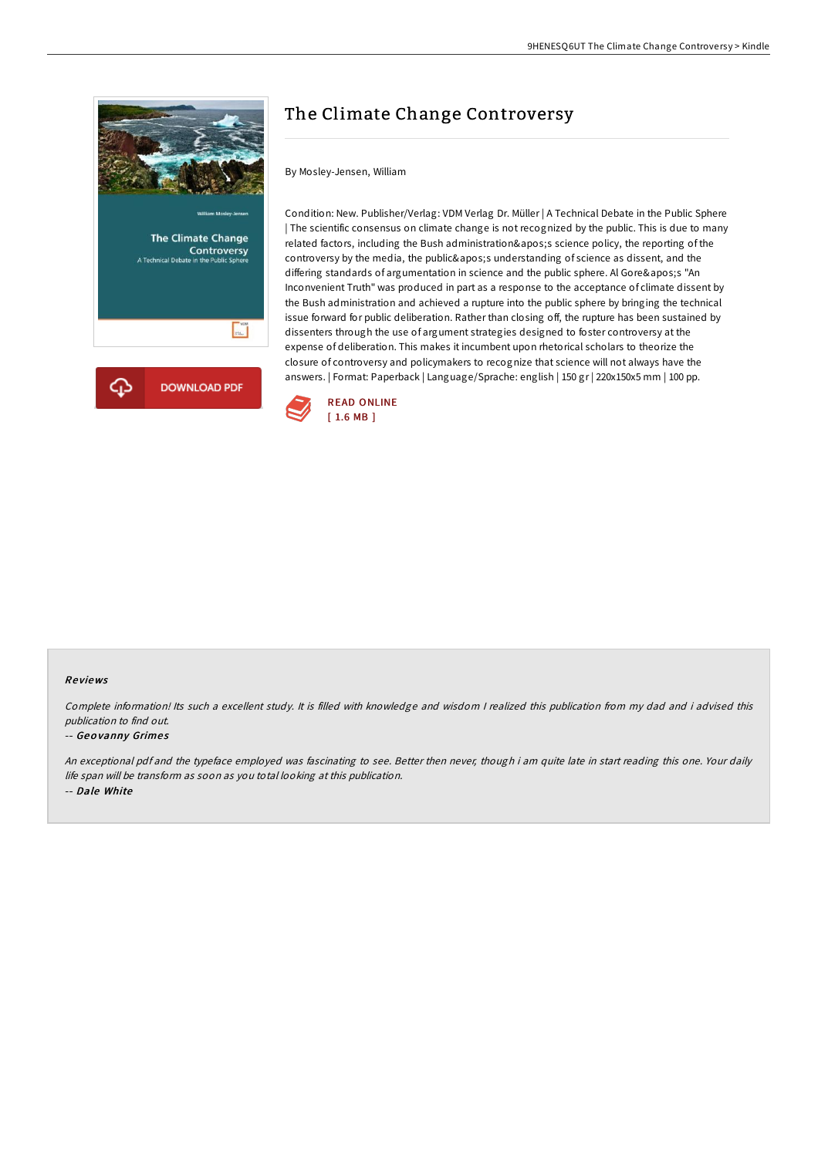

# The Climate Change Controversy

## By Mosley-Jensen, William

Condition: New. Publisher/Verlag: VDM Verlag Dr. Müller | A Technical Debate in the Public Sphere | The scientific consensus on climate change is not recognized by the public. This is due to many related factors, including the Bush administration's science policy, the reporting of the controversy by the media, the public's understanding of science as dissent, and the differing standards of argumentation in science and the public sphere. Al Gore's "An Inconvenient Truth" was produced in part as a response to the acceptance of climate dissent by the Bush administration and achieved a rupture into the public sphere by bringing the technical issue forward for public deliberation. Rather than closing off, the rupture has been sustained by dissenters through the use of argument strategies designed to foster controversy at the expense of deliberation. This makes it incumbent upon rhetorical scholars to theorize the closure of controversy and policymakers to recognize that science will not always have the answers. | Format: Paperback | Language/Sprache: english | 150 gr | 220x150x5 mm | 100 pp.



#### Re views

Complete information! Its such <sup>a</sup> excellent study. It is filled with knowledge and wisdom <sup>I</sup> realized this publication from my dad and i advised this publication to find out.

#### -- Geovanny Grimes

An exceptional pdf and the typeface employed was fascinating to see. Better then never, though i am quite late in start reading this one. Your daily life span will be transform as soon as you total looking at this publication. -- Dale White